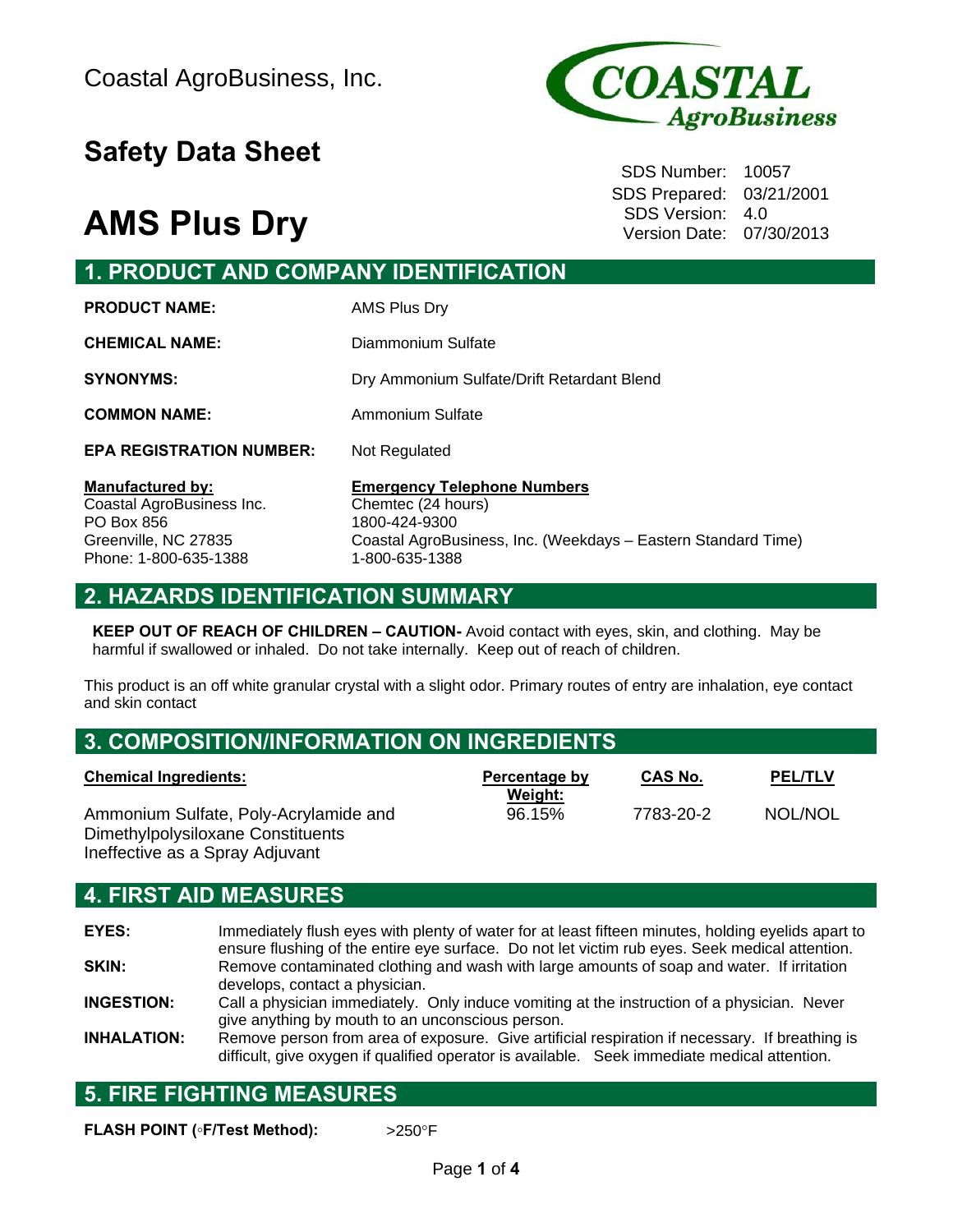# **Safety Data Sheet** Safety Data Sheet

# **AMS Plus Dry** SDS Version: 4.0

Phone: 1-800-635-1388



SDS Prepared: 03/21/2001 Version Date: 07/30/2013

## **1. PRODUCT AND COMPANY IDENTIFICATION**

| <b>PRODUCT NAME:</b>                                               | AMS Plus Dry                                                              |
|--------------------------------------------------------------------|---------------------------------------------------------------------------|
| <b>CHEMICAL NAME:</b>                                              | Diammonium Sulfate                                                        |
| <b>SYNONYMS:</b>                                                   | Dry Ammonium Sulfate/Drift Retardant Blend                                |
| <b>COMMON NAME:</b>                                                | Ammonium Sulfate                                                          |
| <b>EPA REGISTRATION NUMBER:</b>                                    | Not Regulated                                                             |
| <b>Manufactured by:</b><br>Coastal AgroBusiness Inc.<br>PO Box 856 | <b>Emergency Telephone Numbers</b><br>Chemtec (24 hours)<br>1800-424-9300 |
| Greenville, NC 27835                                               | Coastal AgroBusiness, Inc. (Weekdays - Eastern Standard Time)             |

## **2. HAZARDS IDENTIFICATION SUMMARY**

**KEEP OUT OF REACH OF CHILDREN – CAUTION-** Avoid contact with eyes, skin, and clothing. May be harmful if swallowed or inhaled. Do not take internally. Keep out of reach of children.

1-800-635-1388

This product is an off white granular crystal with a slight odor. Primary routes of entry are inhalation, eye contact and skin contact

## **3. COMPOSITION/INFORMATION ON INGREDIENTS**

| <b>Chemical Ingredients:</b>                                               | Percentage by     | <b>CAS No.</b> | <b>PEL/TLV</b> |
|----------------------------------------------------------------------------|-------------------|----------------|----------------|
| Ammonium Sulfate, Poly-Acrylamide and<br>Dimethylpolysiloxane Constituents | Weight:<br>96.15% | 7783-20-2      | NOL/NOL        |

## **4. FIRST AID MEASURES**

Ineffective as a Spray Adjuvant

**EYES:** Immediately flush eyes with plenty of water for at least fifteen minutes, holding eyelids apart to ensure flushing of the entire eye surface. Do not let victim rub eyes. Seek medical attention. **SKIN:** Remove contaminated clothing and wash with large amounts of soap and water. If irritation develops, contact a physician.

**INGESTION:** Call a physician immediately. Only induce vomiting at the instruction of a physician. Never give anything by mouth to an unconscious person.

**INHALATION:** Remove person from area of exposure. Give artificial respiration if necessary. If breathing is difficult, give oxygen if qualified operator is available. Seek immediate medical attention.

## **5. FIRE FIGHTING MEASURES**

**FLASH POINT (◦F/Test Method):** >250F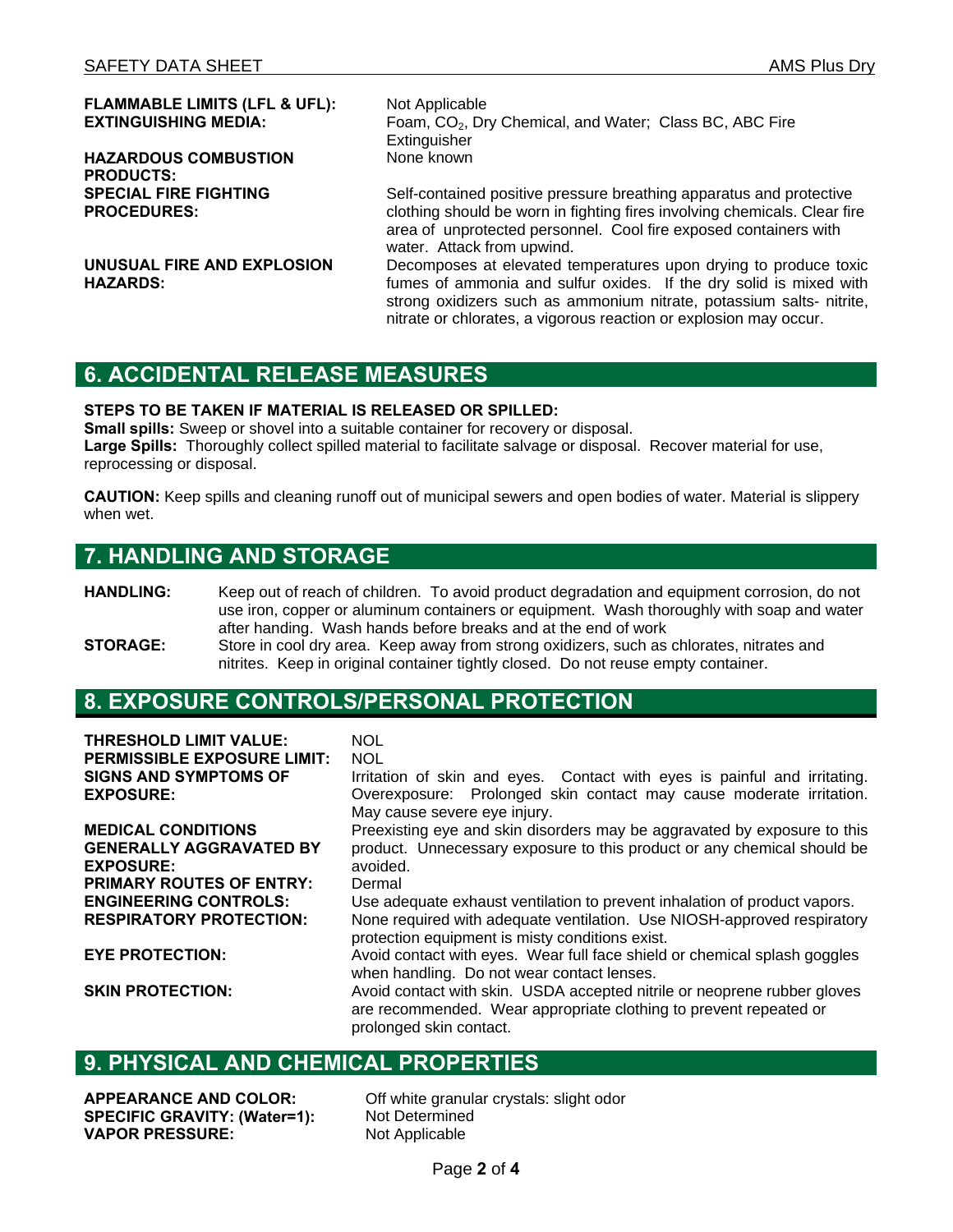**FLAMMABLE LIMITS (LFL & UFL):** Not Applicable<br> **EXTINGUISHING MEDIA:** Foam. CO<sub>2</sub>. Dr

**HAZARDOUS COMBUSTION PRODUCTS: SPECIAL FIRE FIGHTING PROCEDURES:** 

**UNUSUAL FIRE AND EXPLOSION HAZARDS:** 

Foam, CO<sub>2</sub>, Dry Chemical, and Water; Class BC, ABC Fire **Extinguisher** None known

Self-contained positive pressure breathing apparatus and protective clothing should be worn in fighting fires involving chemicals. Clear fire area of unprotected personnel. Cool fire exposed containers with water. Attack from upwind.

Decomposes at elevated temperatures upon drying to produce toxic fumes of ammonia and sulfur oxides. If the dry solid is mixed with strong oxidizers such as ammonium nitrate, potassium salts- nitrite, nitrate or chlorates, a vigorous reaction or explosion may occur.

### **6. ACCIDENTAL RELEASE MEASURES**

#### **STEPS TO BE TAKEN IF MATERIAL IS RELEASED OR SPILLED:**

**Small spills:** Sweep or shovel into a suitable container for recovery or disposal. **Large Spills:** Thoroughly collect spilled material to facilitate salvage or disposal. Recover material for use, reprocessing or disposal.

**CAUTION:** Keep spills and cleaning runoff out of municipal sewers and open bodies of water. Material is slippery when wet.

### **7. HANDLING AND STORAGE**

- **HANDLING:** Keep out of reach of children. To avoid product degradation and equipment corrosion, do not use iron, copper or aluminum containers or equipment. Wash thoroughly with soap and water after handing. Wash hands before breaks and at the end of work
- **STORAGE:** Store in cool dry area. Keep away from strong oxidizers, such as chlorates, nitrates and nitrites. Keep in original container tightly closed. Do not reuse empty container.

#### **8. EXPOSURE CONTROLS/PERSONAL PROTECTION**

| <b>THRESHOLD LIMIT VALUE:</b>      | <b>NOL</b>                                                                |
|------------------------------------|---------------------------------------------------------------------------|
| <b>PERMISSIBLE EXPOSURE LIMIT:</b> | <b>NOL</b>                                                                |
| <b>SIGNS AND SYMPTOMS OF</b>       | Irritation of skin and eyes. Contact with eyes is painful and irritating. |
| <b>EXPOSURE:</b>                   | Overexposure: Prolonged skin contact may cause moderate irritation.       |
|                                    | May cause severe eye injury.                                              |
| <b>MEDICAL CONDITIONS</b>          | Preexisting eye and skin disorders may be aggravated by exposure to this  |
| <b>GENERALLY AGGRAVATED BY</b>     | product. Unnecessary exposure to this product or any chemical should be   |
| <b>EXPOSURE:</b>                   | avoided.                                                                  |
| <b>PRIMARY ROUTES OF ENTRY:</b>    | Dermal                                                                    |
| <b>ENGINEERING CONTROLS:</b>       | Use adequate exhaust ventilation to prevent inhalation of product vapors. |
| <b>RESPIRATORY PROTECTION:</b>     | None required with adequate ventilation. Use NIOSH-approved respiratory   |
|                                    | protection equipment is misty conditions exist.                           |
| <b>EYE PROTECTION:</b>             | Avoid contact with eyes. Wear full face shield or chemical splash goggles |
|                                    | when handling. Do not wear contact lenses.                                |
| <b>SKIN PROTECTION:</b>            | Avoid contact with skin. USDA accepted nitrile or neoprene rubber gloves  |
|                                    | are recommended. Wear appropriate clothing to prevent repeated or         |
|                                    | prolonged skin contact.                                                   |

### **9. PHYSICAL AND CHEMICAL PROPERTIES**

**SPECIFIC GRAVITY: (Water=1):** Not Determined **VAPOR PRESSURE:** Not Applicable

**APPEARANCE AND COLOR:** Off white granular crystals: slight odor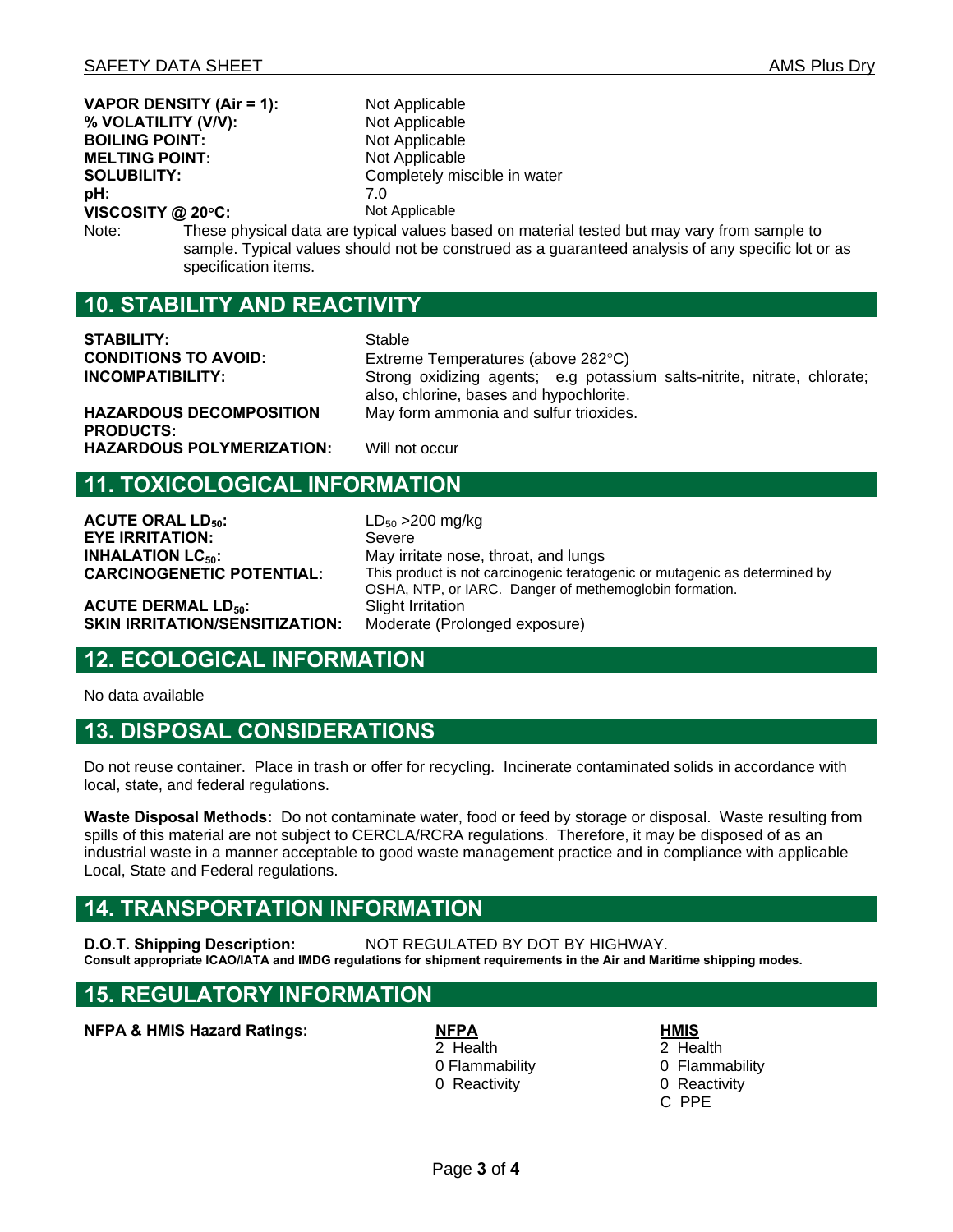| <b>VAPOR DENSITY (Air = 1):</b>                                                                                                                                                                                                   |  | Not Applicable               |
|-----------------------------------------------------------------------------------------------------------------------------------------------------------------------------------------------------------------------------------|--|------------------------------|
| % VOLATILITY (V/V):                                                                                                                                                                                                               |  | Not Applicable               |
| <b>BOILING POINT:</b>                                                                                                                                                                                                             |  | Not Applicable               |
| <b>MELTING POINT:</b>                                                                                                                                                                                                             |  | Not Applicable               |
| <b>SOLUBILITY:</b>                                                                                                                                                                                                                |  | Completely miscible in water |
| pH:                                                                                                                                                                                                                               |  | 7.0                          |
| VISCOSITY @ 20°C:                                                                                                                                                                                                                 |  | Not Applicable               |
| These physical data are typical values based on material tested but may vary from sample to<br>Note:<br>sample. Typical values should not be construed as a guaranteed analysis of any specific lot or as<br>specification items. |  |                              |
| <b>10. STABILITY AND REACTIVITY</b>                                                                                                                                                                                               |  |                              |
|                                                                                                                                                                                                                                   |  |                              |

**STABILITY:** Stable **CONDITIONS TO AVOID:** Extreme Temperatures (above 282°C)

**INCOMPATIBILITY:** Strong oxidizing agents; e.g potassium salts-nitrite, nitrate, chlorate; also, chlorine, bases and hypochlorite. May form ammonia and sulfur trioxides.

**HAZARDOUS DECOMPOSITION PRODUCTS: HAZARDOUS POLYMERIZATION:** Will not occur

### **11. TOXICOLOGICAL INFORMATION**

**ACUTE ORAL LD<sub>50</sub>:** LD<sub>50</sub> > 200 mg/kg **EYE IRRITATION:** Severe **INHALATION LC<sub>50</sub>:** May irritate nose, throat, and lungs

**ACUTE DERMAL LD<sub>50</sub>:** Slight Irritation<br>**SKIN IRRITATION/SENSITIZATION:** Moderate (Prolonged exposure) **SKIN IRRITATION/SENSITIZATION:** 

**CARCINOGENETIC POTENTIAL:** This product is not carcinogenic teratogenic or mutagenic as determined by OSHA, NTP, or IARC. Danger of methemoglobin formation.

### **12. ECOLOGICAL INFORMATION**

No data available

#### **13. DISPOSAL CONSIDERATIONS**

Do not reuse container. Place in trash or offer for recycling. Incinerate contaminated solids in accordance with local, state, and federal regulations.

**Waste Disposal Methods:** Do not contaminate water, food or feed by storage or disposal. Waste resulting from spills of this material are not subject to CERCLA/RCRA regulations. Therefore, it may be disposed of as an industrial waste in a manner acceptable to good waste management practice and in compliance with applicable Local, State and Federal regulations.

### **14. TRANSPORTATION INFORMATION**

**D.O.T. Shipping Description:** NOT REGULATED BY DOT BY HIGHWAY.

**Consult appropriate ICAO/IATA and IMDG regulations for shipment requirements in the Air and Maritime shipping modes.** 

#### **15. REGULATORY INFORMATION**

**NFPA & HMIS Hazard Ratings: NEPA** 

2 Health 0 Flammability 0 Reactivity

**HMIS**

2 Health 0 Flammability 0 Reactivity C PPE